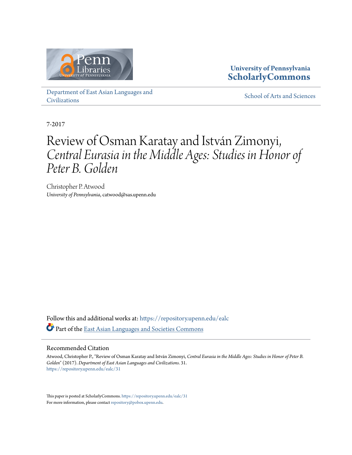

# **University of Pennsylvania [ScholarlyCommons](https://repository.upenn.edu?utm_source=repository.upenn.edu%2Fealc%2F31&utm_medium=PDF&utm_campaign=PDFCoverPages)**

[Department of East Asian Languages and](https://repository.upenn.edu/ealc?utm_source=repository.upenn.edu%2Fealc%2F31&utm_medium=PDF&utm_campaign=PDFCoverPages) [Civilizations](https://repository.upenn.edu/ealc?utm_source=repository.upenn.edu%2Fealc%2F31&utm_medium=PDF&utm_campaign=PDFCoverPages)

[School of Arts and Sciences](https://repository.upenn.edu/sas?utm_source=repository.upenn.edu%2Fealc%2F31&utm_medium=PDF&utm_campaign=PDFCoverPages)

7-2017

# Review of Osman Karatay and István Zimonyi, *Central Eurasia in the Middle Ages: Studies in Honor of Peter B. Golden*

Christopher P. Atwood *University of Pennsylvania*, catwood@sas.upenn.edu

Follow this and additional works at: [https://repository.upenn.edu/ealc](https://repository.upenn.edu/ealc?utm_source=repository.upenn.edu%2Fealc%2F31&utm_medium=PDF&utm_campaign=PDFCoverPages) Part of the [East Asian Languages and Societies Commons](http://network.bepress.com/hgg/discipline/481?utm_source=repository.upenn.edu%2Fealc%2F31&utm_medium=PDF&utm_campaign=PDFCoverPages)

## Recommended Citation

Atwood, Christopher P., "Review of Osman Karatay and István Zimonyi, *Central Eurasia in the Middle Ages: Studies in Honor of Peter B. Golden*" (2017). *Department of East Asian Languages and Civilizations*. 31. [https://repository.upenn.edu/ealc/31](https://repository.upenn.edu/ealc/31?utm_source=repository.upenn.edu%2Fealc%2F31&utm_medium=PDF&utm_campaign=PDFCoverPages)

This paper is posted at ScholarlyCommons. <https://repository.upenn.edu/ealc/31> For more information, please contact [repository@pobox.upenn.edu.](mailto:repository@pobox.upenn.edu)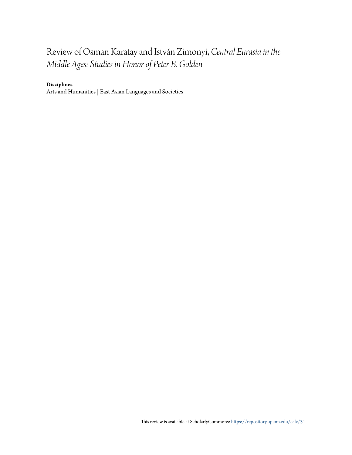# Review of Osman Karatay and István Zimonyi, *Central Eurasia in the Middle Ages: Studies in Honor of Peter B. Golden*

## **Disciplines**

Arts and Humanities | East Asian Languages and Societies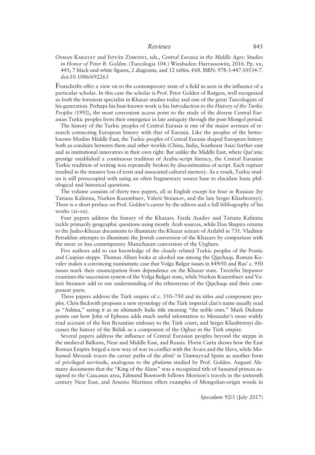#### Reviews 845

Osman Karatay and István Zimonyi, eds., Central Eurasia in the Middle Ages: Studies in Honor of Peter B. Golden. (Turcologia 104.) Wiesbaden: Harrassowitz, 2016. Pp. xx, 445; 7 black-and-white figures, 2 diagrams, and 12 tables. €68. ISBN: 978-3-447-10534-7. doi:10.1086/692263

Festschrifts offer a view on to the contemporary state of a field as seen in the influence of a particular scholar. In this case the scholar is Prof. Peter Golden of Rutgers, well recognized as both the foremost specialist in Khazar studies today and one of the great Turcologists of his generation. Perhaps his best-known work is his Introduction to the History of the Turkic Peoples (1992), the most convenient access point to the study of the diverse Central Eurasian Turkic peoples from their emergence in late antiquity through the post-Mongol period.

The history of the Turkic peoples of Central Eurasia is one of the major avenues of research connecting European history with that of Eurasia. Like the peoples of the betterknown Muslim Middle East, the Turkic peoples of Central Eurasia shaped European history both as conduits between them and other worlds (China, India, Southeast Asia) further east and as institutional innovators in their own right. But unlike the Middle East, where Qur'anic prestige established a continuous tradition of Arabic-script literacy, the Central Eurasian Turkic tradition of writing was repeatedly broken by discontinuities of script. Each rupture resulted in the massive loss of texts and associated cultural memory. As a result, Turkic studies is still preoccupied with using an often fragmentary source base to elucidate basic philological and historical questions.

The volume consists of thirty-two papers, all in English except for four in Russian (by Tatiana Kalinina, Nurken Kuzembaev, Valerii Stoianov, and the late Sergei Kliashtornyi). There is a short preface on Prof. Golden's career by the editors and a full bibliography of his works (xi–xx).

Four papers address the history of the Khazars. Farda Asadov and Tatiana Kalinina tackle primarily geographic questions using mostly Arab sources, while Dan Shapira returns to the Judeo-Khazar documents to illuminate the Khazar seizure of Ardabil in 731. Vladimir Petrukhin attempts to illuminate the Jewish conversion of the Khazars by comparison with the more or less contemporary Manichaean conversion of the Uyghurs.

Five authors add to our knowledge of the closely related Turkic peoples of the Pontic and Caspian steppe. Thomas Allsen looks at alcohol use among the Qipchaqs. Roman Kovalev makes a convincing numismatic case that Volga Bulgar issues in 849/50 and Rus' c. 950 issues mark their emancipation from dependence on the Khazar state. Tsvetelin Stepanov examines the succession system of the Volga Bulgar state, while Nurken Kuzembaev and Valerii Stoianov add to our understanding of the ethnonyms of the Qipchaqs and their component parts.

Three papers address the Türk empire of c. 550–750 and its titles and component peoples. Chris Beckwith proposes a new etymology of the Türk imperial clan's name usually read as "Ashina," seeing it as an ultimately Indic title meaning "the noble ones." Mark Dickens points out how John of Ephesus adds much useful information to Menander's more widely read account of the first Byzantine embassy to the Türk court, and Sergei Kliashtornyi discusses the history of the Bölük as a component of the Oghuz in the Türk empire.

Several papers address the influence of Central Eurasian peoples beyond the steppe in the medieval Balkans, Near and Middle East, and Russia. Florin Curta shows how the East Roman Empire forged a new way of war in conflict with the Avars and the Slavs, while Mohamed Meouak traces the career paths of the *abna*' in Ummayyad Spain as another form of privileged servitude, analogous to the *ghulams* studied by Prof. Golden. Augusti Alemany documents that the "King of the Alans" was a recognized title of Sassanid princes assigned to the Caucasus area, Edmund Bosworth follows Morison's travels in the sixteenth century Near East, and Arsenio Martinez offers examples of Mongolian-origin words in

Speculum 92/3 (July 2017)